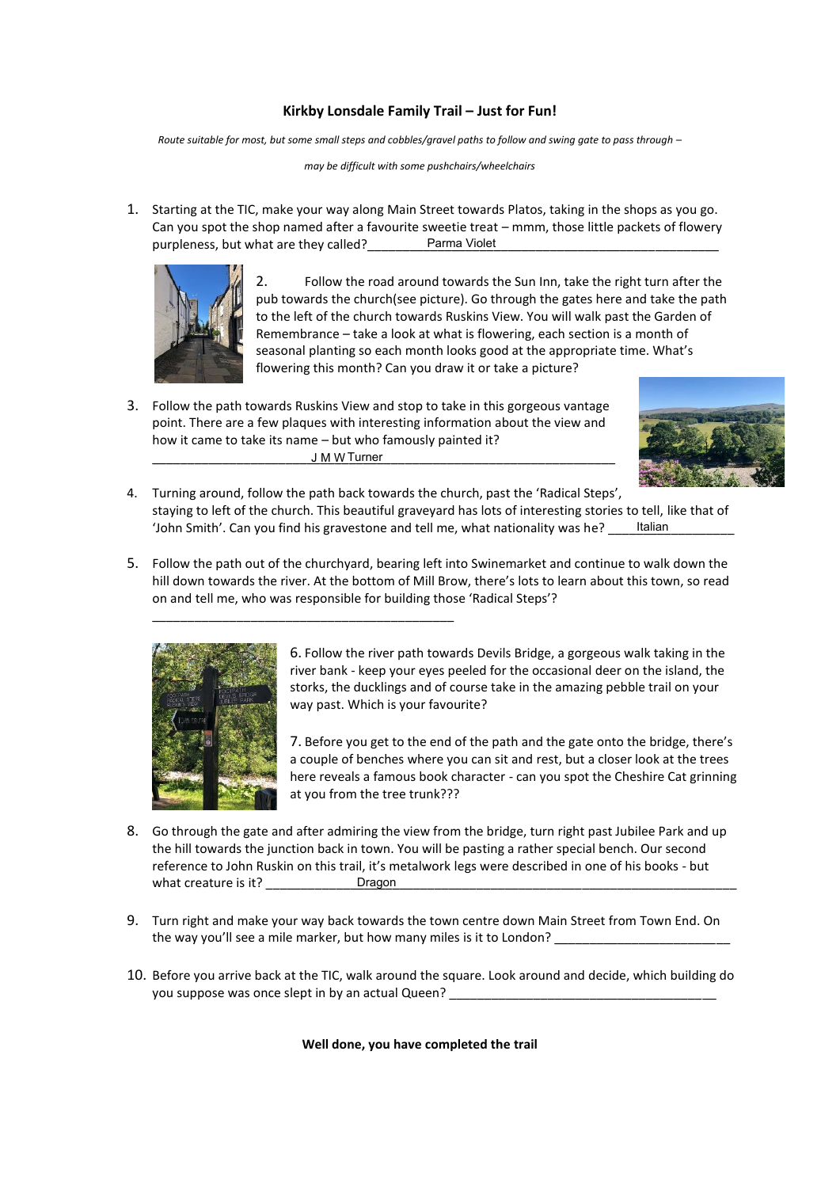## **Kirkby Lonsdale Family Trail – Just for Fun!**

*Route suitable for most, but some small steps and cobbles/gravel paths to follow and swing gate to pass through –*

*may be difficult with some pushchairs/wheelchairs*

1. Starting at the TIC, make your way along Main Street towards Platos, taking in the shops as you go. Can you spot the shop named after a favourite sweetie treat – mmm, those little packets of flowery purpleness, but what are they called?\_\_\_\_\_\_\_\_\_\_Parma Violet\_\_\_\_\_\_\_\_\_\_\_\_\_\_\_\_\_\_\_\_\_



2. Follow the road around towards the Sun Inn, take the right turn after the pub towards the church(see picture). Go through the gates here and take the path to the left of the church towards Ruskins View. You will walk past the Garden of Remembrance – take a look at what is flowering, each section is a month of seasonal planting so each month looks good at the appropriate time. What's flowering this month? Can you draw it or take a picture?

3. Follow the path towards Ruskins View and stop to take in this gorgeous vantage point. There are a few plaques with interesting information about the view and how it came to take its name – but who famously painted it? \_\_\_\_\_\_\_\_\_\_\_\_\_\_\_\_\_\_\_\_\_\_\_\_\_\_\_\_\_\_\_\_\_\_\_\_\_\_\_\_\_\_\_\_\_\_\_\_\_\_\_\_\_\_\_\_\_\_\_\_\_\_\_\_\_\_ Turner J M W

\_\_\_\_\_\_\_\_\_\_\_\_\_\_\_\_\_\_\_\_\_\_\_\_\_\_\_\_\_\_\_\_\_\_\_\_\_\_\_\_\_\_\_



- 4. Turning around, follow the path back towards the church, past the 'Radical Steps', staying to left of the church. This beautiful graveyard has lots of interesting stories to tell, like that of 'John Smith'. Can you find his gravestone and tell me, what nationality was he? Italian
- 5. Follow the path out of the churchyard, bearing left into Swinemarket and continue to walk down the hill down towards the river. At the bottom of Mill Brow, there's lots to learn about this town, so read on and tell me, who was responsible for building those 'Radical Steps'?



6. Follow the river path towards Devils Bridge, a gorgeous walk taking in the river bank - keep your eyes peeled for the occasional deer on the island, the storks, the ducklings and of course take in the amazing pebble trail on your way past. Which is your favourite?

7. Before you get to the end of the path and the gate onto the bridge, there's a couple of benches where you can sit and rest, but a closer look at the trees here reveals a famous book character - can you spot the Cheshire Cat grinning at you from the tree trunk???

- 8. Go through the gate and after admiring the view from the bridge, turn right past Jubilee Park and up the hill towards the junction back in town. You will be pasting a rather special bench. Our second reference to John Ruskin on this trail, it's metalwork legs were described in one of his books - but what creature is it? Dragon
- 9. Turn right and make your way back towards the town centre down Main Street from Town End. On the way you'll see a mile marker, but how many miles is it to London?
- 10. Before you arrive back at the TIC, walk around the square. Look around and decide, which building do you suppose was once slept in by an actual Queen?

**Well done, you have completed the trail**